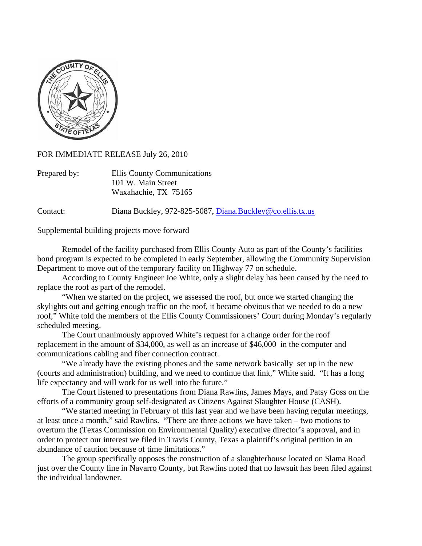

FOR IMMEDIATE RELEASE July 26, 2010

| Prepared by: | <b>Ellis County Communications</b> |
|--------------|------------------------------------|
|              | 101 W. Main Street                 |
|              | Waxahachie, TX 75165               |

Contact: Diana Buckley, 972-825-5087, [Diana.Buckley@co.ellis.tx.us](mailto:Diana.Buckley@co.ellis.tx.us)

Supplemental building projects move forward

 Remodel of the facility purchased from Ellis County Auto as part of the County's facilities bond program is expected to be completed in early September, allowing the Community Supervision Department to move out of the temporary facility on Highway 77 on schedule.

 According to County Engineer Joe White, only a slight delay has been caused by the need to replace the roof as part of the remodel.

 "When we started on the project, we assessed the roof, but once we started changing the skylights out and getting enough traffic on the roof, it became obvious that we needed to do a new roof," White told the members of the Ellis County Commissioners' Court during Monday's regularly scheduled meeting.

 The Court unanimously approved White's request for a change order for the roof replacement in the amount of \$34,000, as well as an increase of \$46,000 in the computer and communications cabling and fiber connection contract.

 "We already have the existing phones and the same network basically set up in the new (courts and administration) building, and we need to continue that link," White said. "It has a long life expectancy and will work for us well into the future."

 The Court listened to presentations from Diana Rawlins, James Mays, and Patsy Goss on the efforts of a community group self-designated as Citizens Against Slaughter House (CASH).

 "We started meeting in February of this last year and we have been having regular meetings, at least once a month," said Rawlins. "There are three actions we have taken – two motions to overturn the (Texas Commission on Environmental Quality) executive director's approval, and in order to protect our interest we filed in Travis County, Texas a plaintiff's original petition in an abundance of caution because of time limitations."

 The group specifically opposes the construction of a slaughterhouse located on Slama Road just over the County line in Navarro County, but Rawlins noted that no lawsuit has been filed against the individual landowner.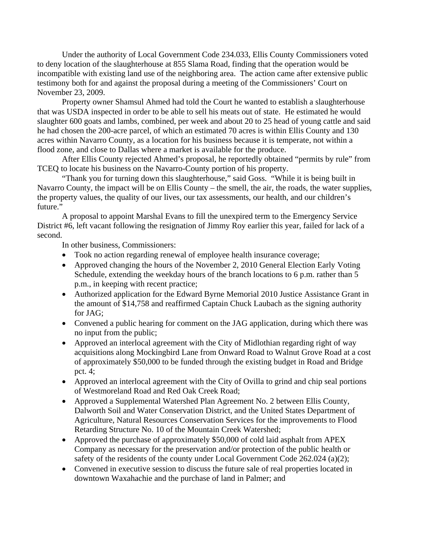Under the authority of Local Government Code 234.033, Ellis County Commissioners voted to deny location of the slaughterhouse at 855 Slama Road, finding that the operation would be incompatible with existing land use of the neighboring area. The action came after extensive public testimony both for and against the proposal during a meeting of the Commissioners' Court on November 23, 2009.

 Property owner Shamsul Ahmed had told the Court he wanted to establish a slaughterhouse that was USDA inspected in order to be able to sell his meats out of state. He estimated he would slaughter 600 goats and lambs, combined, per week and about 20 to 25 head of young cattle and said he had chosen the 200-acre parcel, of which an estimated 70 acres is within Ellis County and 130 acres within Navarro County, as a location for his business because it is temperate, not within a flood zone, and close to Dallas where a market is available for the produce.

 After Ellis County rejected Ahmed's proposal, he reportedly obtained "permits by rule" from TCEQ to locate his business on the Navarro-County portion of his property.

 "Thank you for turning down this slaughterhouse," said Goss. "While it is being built in Navarro County, the impact will be on Ellis County – the smell, the air, the roads, the water supplies, the property values, the quality of our lives, our tax assessments, our health, and our children's future."

 A proposal to appoint Marshal Evans to fill the unexpired term to the Emergency Service District #6, left vacant following the resignation of Jimmy Roy earlier this year, failed for lack of a second.

In other business, Commissioners:

- Took no action regarding renewal of employee health insurance coverage;
- Approved changing the hours of the November 2, 2010 General Election Early Voting Schedule, extending the weekday hours of the branch locations to 6 p.m. rather than 5 p.m., in keeping with recent practice;
- Authorized application for the Edward Byrne Memorial 2010 Justice Assistance Grant in the amount of \$14,758 and reaffirmed Captain Chuck Laubach as the signing authority for JAG;
- Convened a public hearing for comment on the JAG application, during which there was no input from the public;
- Approved an interlocal agreement with the City of Midlothian regarding right of way acquisitions along Mockingbird Lane from Onward Road to Walnut Grove Road at a cost of approximately \$50,000 to be funded through the existing budget in Road and Bridge pct. 4;
- Approved an interlocal agreement with the City of Ovilla to grind and chip seal portions of Westmoreland Road and Red Oak Creek Road;
- Approved a Supplemental Watershed Plan Agreement No. 2 between Ellis County, Dalworth Soil and Water Conservation District, and the United States Department of Agriculture, Natural Resources Conservation Services for the improvements to Flood Retarding Structure No. 10 of the Mountain Creek Watershed;
- Approved the purchase of approximately \$50,000 of cold laid asphalt from APEX Company as necessary for the preservation and/or protection of the public health or safety of the residents of the county under Local Government Code 262.024 (a)(2);
- Convened in executive session to discuss the future sale of real properties located in downtown Waxahachie and the purchase of land in Palmer; and